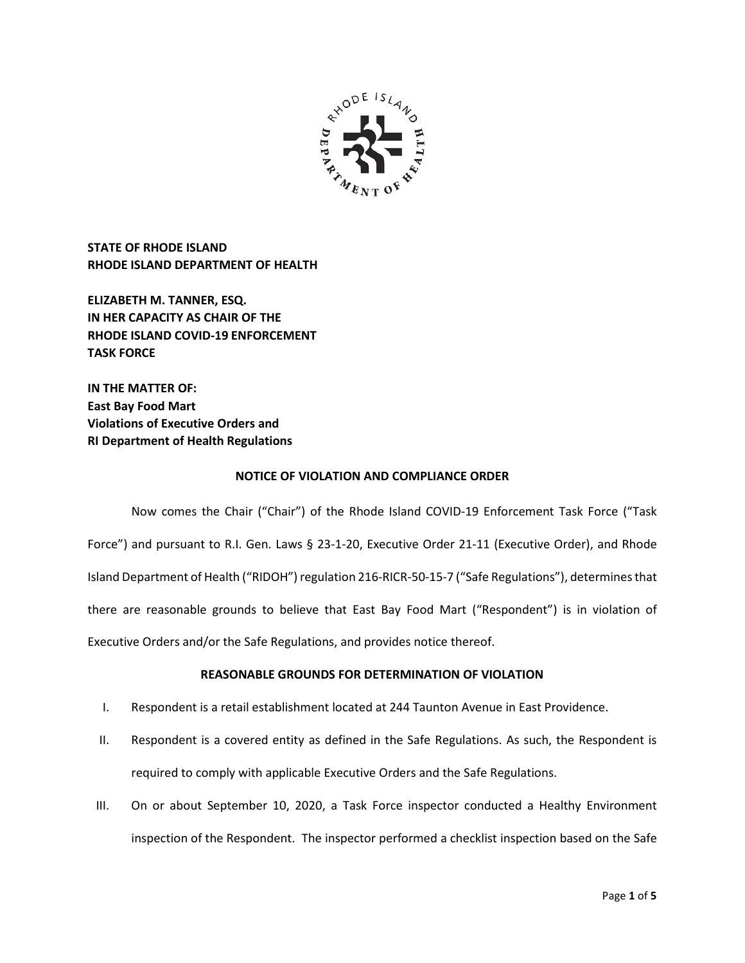

**STATE OF RHODE ISLAND RHODE ISLAND DEPARTMENT OF HEALTH**

**ELIZABETH M. TANNER, ESQ. IN HER CAPACITY AS CHAIR OF THE RHODE ISLAND COVID-19 ENFORCEMENT TASK FORCE** 

**IN THE MATTER OF: East Bay Food Mart Violations of Executive Orders and RI Department of Health Regulations**

# **NOTICE OF VIOLATION AND COMPLIANCE ORDER**

Now comes the Chair ("Chair") of the Rhode Island COVID-19 Enforcement Task Force ("Task Force") and pursuant to R.I. Gen. Laws § 23-1-20, Executive Order 21-11 (Executive Order), and Rhode Island Department of Health ("RIDOH") regulation 216-RICR-50-15-7 ("Safe Regulations"), determines that there are reasonable grounds to believe that East Bay Food Mart ("Respondent") is in violation of Executive Orders and/or the Safe Regulations, and provides notice thereof.

# **REASONABLE GROUNDS FOR DETERMINATION OF VIOLATION**

- I. Respondent is a retail establishment located at 244 Taunton Avenue in East Providence.
- II. Respondent is a covered entity as defined in the Safe Regulations. As such, the Respondent is required to comply with applicable Executive Orders and the Safe Regulations.
- III. On or about September 10, 2020, a Task Force inspector conducted a Healthy Environment inspection of the Respondent. The inspector performed a checklist inspection based on the Safe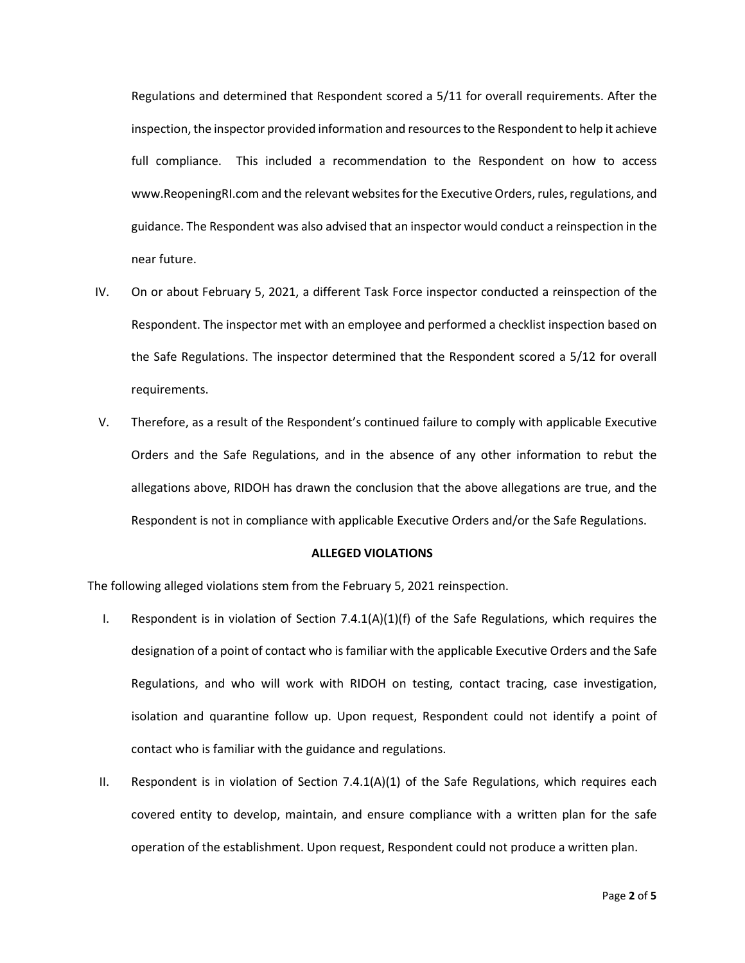Regulations and determined that Respondent scored a 5/11 for overall requirements. After the inspection, the inspector provided information and resources to the Respondent to help it achieve full compliance. This included a recommendation to the Respondent on how to access www.ReopeningRI.com and the relevant websites for the Executive Orders, rules, regulations, and guidance. The Respondent was also advised that an inspector would conduct a reinspection in the near future.

- IV. On or about February 5, 2021, a different Task Force inspector conducted a reinspection of the Respondent. The inspector met with an employee and performed a checklist inspection based on the Safe Regulations. The inspector determined that the Respondent scored a 5/12 for overall requirements.
- V. Therefore, as a result of the Respondent's continued failure to comply with applicable Executive Orders and the Safe Regulations, and in the absence of any other information to rebut the allegations above, RIDOH has drawn the conclusion that the above allegations are true, and the Respondent is not in compliance with applicable Executive Orders and/or the Safe Regulations.

#### **ALLEGED VIOLATIONS**

The following alleged violations stem from the February 5, 2021 reinspection.

- I. Respondent is in violation of Section  $7.4.1(A)(1)(f)$  of the Safe Regulations, which requires the designation of a point of contact who is familiar with the applicable Executive Orders and the Safe Regulations, and who will work with RIDOH on testing, contact tracing, case investigation, isolation and quarantine follow up. Upon request, Respondent could not identify a point of contact who is familiar with the guidance and regulations.
- II. Respondent is in violation of Section 7.4.1(A)(1) of the Safe Regulations, which requires each covered entity to develop, maintain, and ensure compliance with a written plan for the safe operation of the establishment. Upon request, Respondent could not produce a written plan.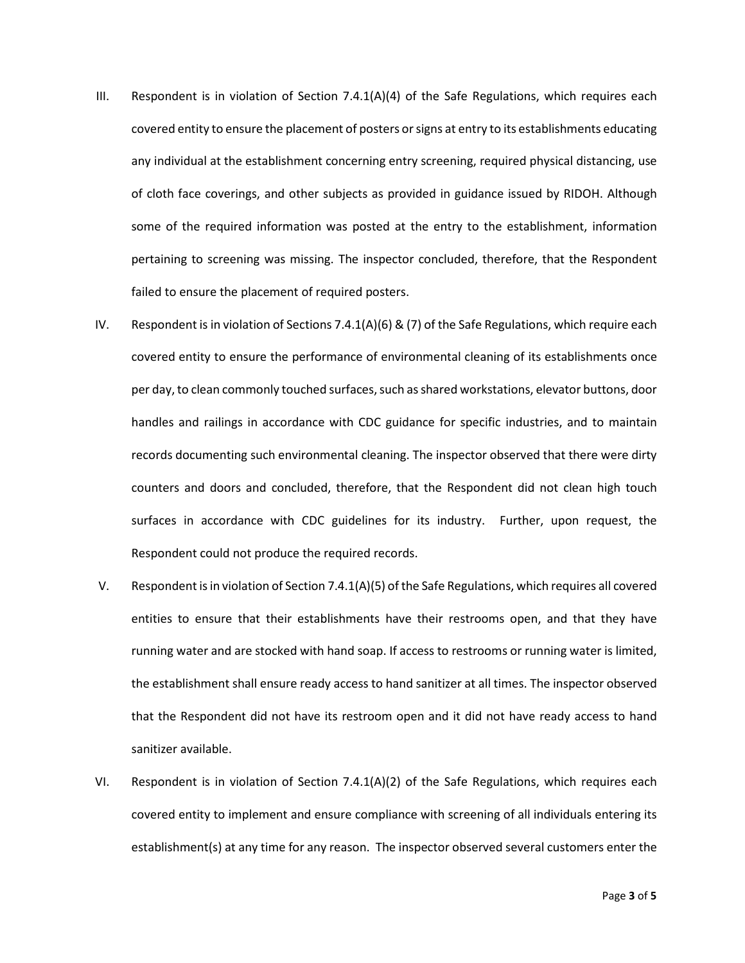- III. Respondent is in violation of Section  $7.4.1(A)(4)$  of the Safe Regulations, which requires each covered entity to ensure the placement of posters or signs at entry to its establishments educating any individual at the establishment concerning entry screening, required physical distancing, use of cloth face coverings, and other subjects as provided in guidance issued by RIDOH. Although some of the required information was posted at the entry to the establishment, information pertaining to screening was missing. The inspector concluded, therefore, that the Respondent failed to ensure the placement of required posters.
- IV. Respondent is in violation of Sections 7.4.1(A)(6) & (7) of the Safe Regulations, which require each covered entity to ensure the performance of environmental cleaning of its establishments once per day, to clean commonly touched surfaces, such as shared workstations, elevator buttons, door handles and railings in accordance with CDC guidance for specific industries, and to maintain records documenting such environmental cleaning. The inspector observed that there were dirty counters and doors and concluded, therefore, that the Respondent did not clean high touch surfaces in accordance with CDC guidelines for its industry. Further, upon request, the Respondent could not produce the required records.
- V. Respondent is in violation of Section 7.4.1(A)(5) of the Safe Regulations, which requires all covered entities to ensure that their establishments have their restrooms open, and that they have running water and are stocked with hand soap. If access to restrooms or running water is limited, the establishment shall ensure ready access to hand sanitizer at all times. The inspector observed that the Respondent did not have its restroom open and it did not have ready access to hand sanitizer available.
- VI. Respondent is in violation of Section 7.4.1(A)(2) of the Safe Regulations, which requires each covered entity to implement and ensure compliance with screening of all individuals entering its establishment(s) at any time for any reason. The inspector observed several customers enter the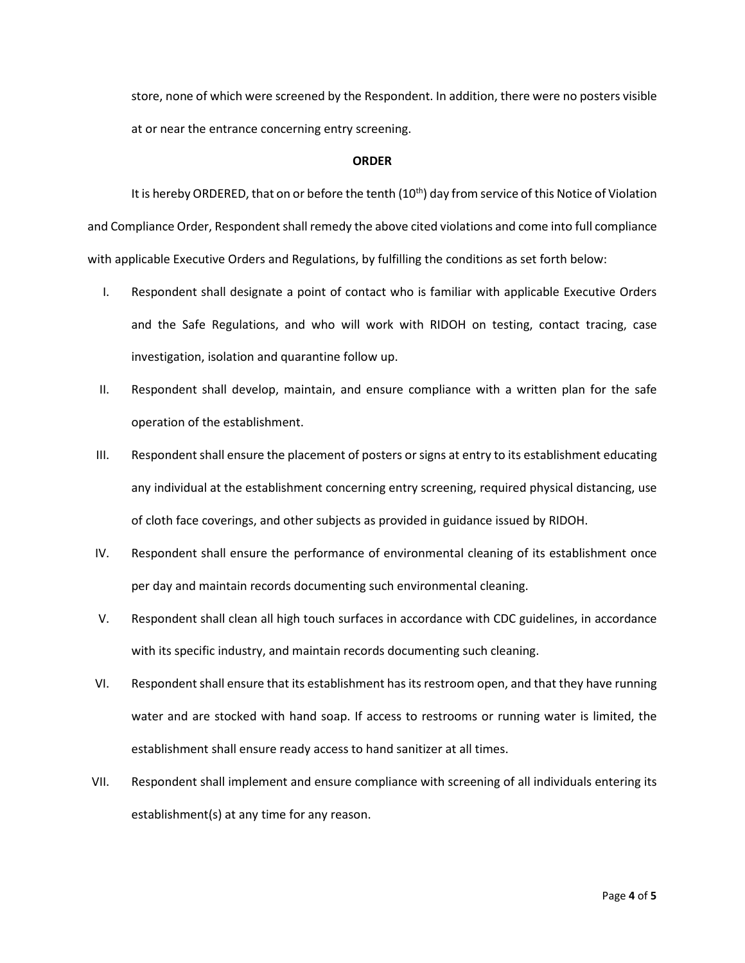store, none of which were screened by the Respondent. In addition, there were no posters visible at or near the entrance concerning entry screening.

# **ORDER**

It is hereby ORDERED, that on or before the tenth (10<sup>th</sup>) day from service of this Notice of Violation and Compliance Order, Respondent shall remedy the above cited violations and come into full compliance with applicable Executive Orders and Regulations, by fulfilling the conditions as set forth below:

- I. Respondent shall designate a point of contact who is familiar with applicable Executive Orders and the Safe Regulations, and who will work with RIDOH on testing, contact tracing, case investigation, isolation and quarantine follow up.
- II. Respondent shall develop, maintain, and ensure compliance with a written plan for the safe operation of the establishment.
- III. Respondent shall ensure the placement of posters or signs at entry to its establishment educating any individual at the establishment concerning entry screening, required physical distancing, use of cloth face coverings, and other subjects as provided in guidance issued by RIDOH.
- IV. Respondent shall ensure the performance of environmental cleaning of its establishment once per day and maintain records documenting such environmental cleaning.
- V. Respondent shall clean all high touch surfaces in accordance with CDC guidelines, in accordance with its specific industry, and maintain records documenting such cleaning.
- VI. Respondent shall ensure that its establishment has itsrestroom open, and that they have running water and are stocked with hand soap. If access to restrooms or running water is limited, the establishment shall ensure ready access to hand sanitizer at all times.
- VII. Respondent shall implement and ensure compliance with screening of all individuals entering its establishment(s) at any time for any reason.